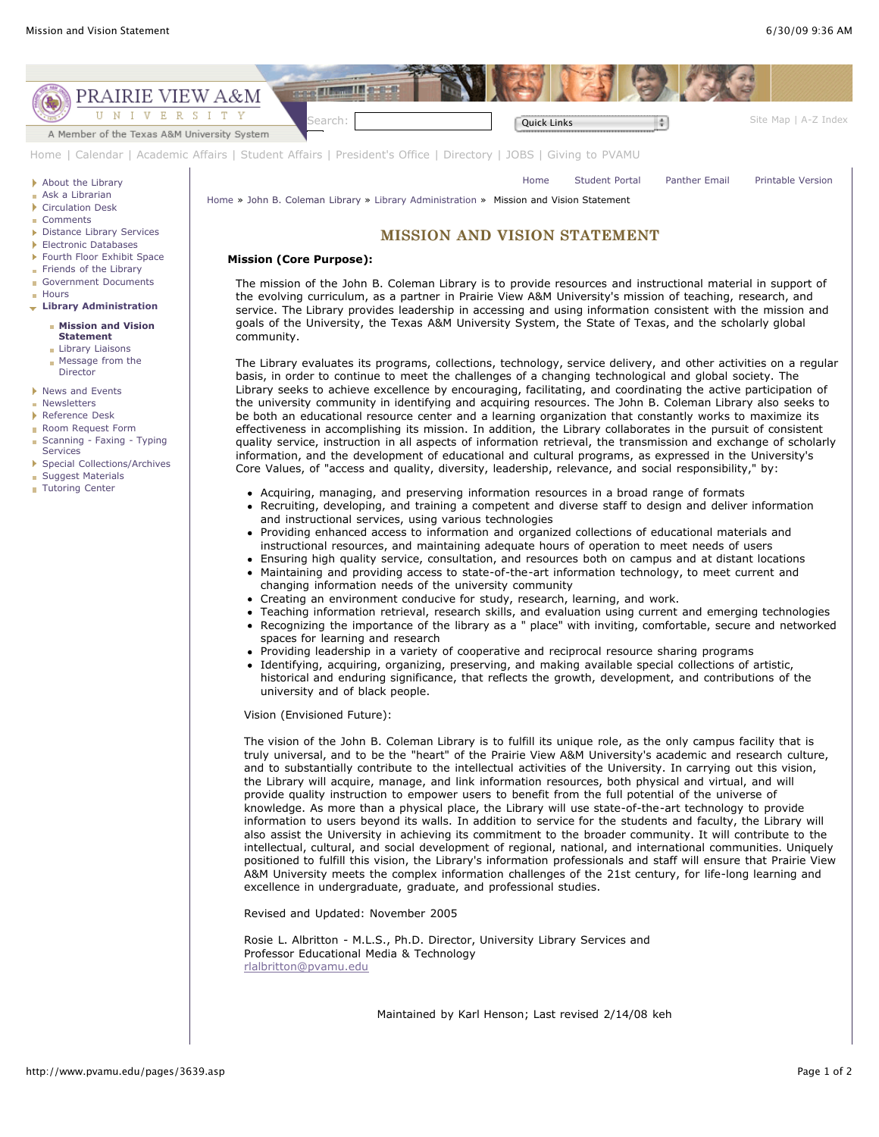

provide quality instruction to empower users to benefit from the full potential of the universe of knowledge. As more than a physical place, the Library will use state-of-the-art technology to provide information to users beyond its walls. In addition to service for the students and faculty, the Library will also assist the University in achieving its commitment to the broader community. It will contribute to the intellectual, cultural, and social development of regional, national, and international communities. Uniquely positioned to fulfill this vision, the Library's information professionals and staff will ensure that Prairie View A&M University meets the complex information challenges of the 21st century, for life-long learning and excellence in undergraduate, graduate, and professional studies.

Revised and Updated: November 2005

Rosie L. Albritton - M.L.S., Ph.D. Director, University Library Services and Professor Educational Media & Technology [rlalbritton@pvamu.edu](mailto:rlalbritton@pvamu.edu?subject=Library%20Mission%20Statement)

Maintained by Karl Henson; Last revised 2/14/08 keh